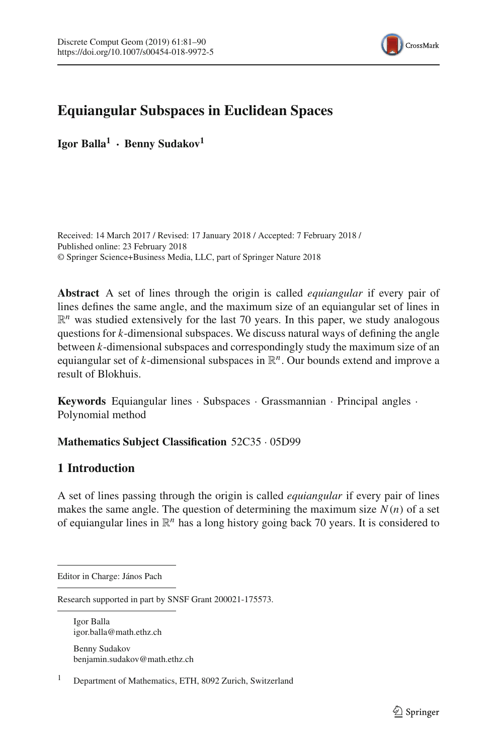

# **Equiangular Subspaces in Euclidean Spaces**

**Igor Balla<sup>1</sup> · Benny Sudakov<sup>1</sup>**

Received: 14 March 2017 / Revised: 17 January 2018 / Accepted: 7 February 2018 / Published online: 23 February 2018 © Springer Science+Business Media, LLC, part of Springer Nature 2018

**Abstract** A set of lines through the origin is called *equiangular* if every pair of lines defines the same angle, and the maximum size of an equiangular set of lines in  $\mathbb{R}^n$  was studied extensively for the last 70 years. In this paper, we study analogous questions for *k*-dimensional subspaces. We discuss natural ways of defining the angle between *k*-dimensional subspaces and correspondingly study the maximum size of an equiangular set of  $k$ -dimensional subspaces in  $\mathbb{R}^n$ . Our bounds extend and improve a result of Blokhuis.

**Keywords** Equiangular lines · Subspaces · Grassmannian · Principal angles · Polynomial method

## **Mathematics Subject Classification** 52C35 · 05D99

## <span id="page-0-0"></span>**1 Introduction**

A set of lines passing through the origin is called *equiangular* if every pair of lines makes the same angle. The question of determining the maximum size  $N(n)$  of a set of equiangular lines in  $\mathbb{R}^n$  has a long history going back 70 years. It is considered to

Igor Balla igor.balla@math.ethz.ch Benny Sudakov benjamin.sudakov@math.ethz.ch

<sup>1</sup> Department of Mathematics, ETH, 8092 Zurich, Switzerland

Editor in Charge: János Pach

Research supported in part by SNSF Grant 200021-175573.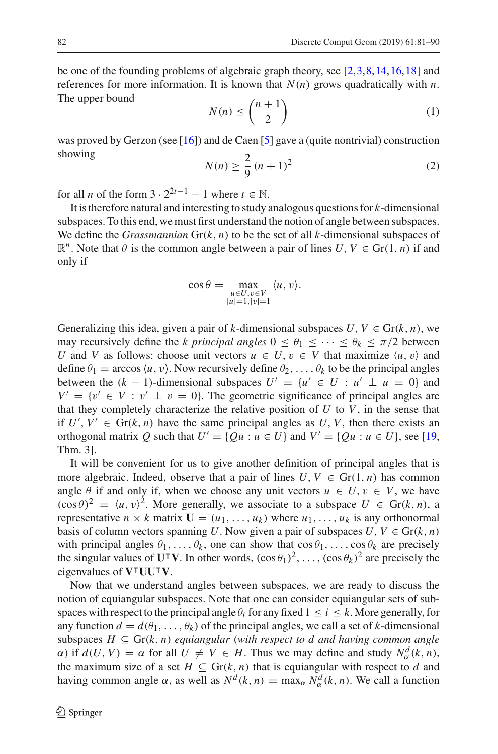be one of the founding problems of algebraic graph theory, see [\[2,](#page-8-0)[3](#page-8-1)[,8](#page-8-2)[,14](#page-8-3),[16,](#page-8-4)[18\]](#page-8-5) and references for more information. It is known that  $N(n)$  grows quadratically with *n*. The upper bound

<span id="page-1-0"></span>
$$
N(n) \leq \binom{n+1}{2} \tag{1}
$$

was proved by Gerzon (see [\[16](#page-8-4)]) and de Caen [\[5](#page-8-6)] gave a (quite nontrivial) construction showing

<span id="page-1-1"></span>
$$
N(n) \ge \frac{2}{9} (n+1)^2
$$
 (2)

for all *n* of the form  $3 \cdot 2^{2t-1} - 1$  where  $t \in \mathbb{N}$ .

It is therefore natural and interesting to study analogous questions for *k*-dimensional subspaces. To this end, we must first understand the notion of angle between subspaces. We define the *Grassmannian*  $Gr(k, n)$  to be the set of all *k*-dimensional subspaces of  $\mathbb{R}^n$ . Note that  $\theta$  is the common angle between a pair of lines  $U, V \in \text{Gr}(1, n)$  if and only if

$$
\cos \theta = \max_{\substack{u \in U, v \in V \\ |u| = 1, |v| = 1}} \langle u, v \rangle.
$$

Generalizing this idea, given a pair of *k*-dimensional subspaces  $U, V \in \text{Gr}(k, n)$ , we may recursively define the *k principal angles*  $0 \le \theta_1 \le \cdots \le \theta_k \le \pi/2$  between *U* and *V* as follows: choose unit vectors  $u \in U$ ,  $v \in V$  that maximize  $\langle u, v \rangle$  and define  $\theta_1$  = arccos  $\langle u, v \rangle$ . Now recursively define  $\theta_2, \ldots, \theta_k$  to be the principal angles between the  $(k - 1)$ -dimensional subspaces  $U' = \{u' \in U : u' \perp u = 0\}$  and  $V' = \{v' \in V : v' \perp v = 0\}$ . The geometric significance of principal angles are that they completely characterize the relative position of  $U$  to  $V$ , in the sense that if  $U', V' \in Gr(k, n)$  have the same principal angles as  $U, V$ , then there exists an orthogonal matrix *Q* such that  $U' = \{Qu : u \in U\}$  and  $V' = \{Qu : u \in U\}$ , see [\[19,](#page-9-0) Thm. 3].

It will be convenient for us to give another definition of principal angles that is more algebraic. Indeed, observe that a pair of lines  $U, V \in Gr(1, n)$  has common angle  $\theta$  if and only if, when we choose any unit vectors  $u \in U$ ,  $v \in V$ , we have  $(\cos \theta)^2 = \langle u, v \rangle^2$ . More generally, we associate to a subspace  $U \in \text{Gr}(k, n)$ , a representative  $n \times k$  matrix  $\mathbf{U} = (u_1, \dots, u_k)$  where  $u_1, \dots, u_k$  is any orthonormal basis of column vectors spanning *U*. Now given a pair of subspaces  $U, V \in \text{Gr}(k, n)$ with principal angles  $\theta_1, \ldots, \theta_k$ , one can show that  $\cos \theta_1, \ldots, \cos \theta_k$  are precisely the singular values of  $\mathbf{U}^\mathsf{T} \mathbf{V}$ . In other words,  $(\cos \theta_1)^2, \ldots, (\cos \theta_k)^2$  are precisely the eigenvalues of  $V^{\dagger}UU^{\dagger}V$ .

Now that we understand angles between subspaces, we are ready to discuss the notion of equiangular subspaces. Note that one can consider equiangular sets of subspaces with respect to the principal angle  $\theta_i$  for any fixed  $1 \le i \le k$ . More generally, for any function  $d = d(\theta_1, \dots, \theta_k)$  of the principal angles, we call a set of *k*-dimensional subspaces  $H \subseteq Gr(k, n)$  *equiangular* (with respect to d and having common angle  $\alpha$ ) if  $d(U, V) = \alpha$  for all  $U \neq V \in H$ . Thus we may define and study  $N_{\alpha}^{d}(k, n)$ , the maximum size of a set  $H \subseteq Gr(k, n)$  that is equiangular with respect to *d* and having common angle  $\alpha$ , as well as  $N^d(k, n) = \max_{\alpha} N^d_{\alpha}(k, n)$ . We call a function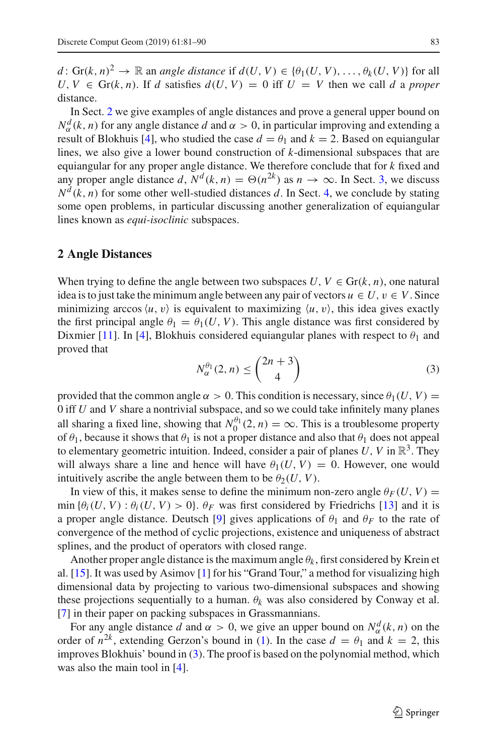*d* : Gr(*k*, *n*)<sup>2</sup>  $\rightarrow \mathbb{R}$  an *angle distance* if  $d(U, V) \in \{\theta_1(U, V), \dots, \theta_k(U, V)\}$  for all  $U, V \in \text{Gr}(k, n)$ . If *d* satisfies  $d(U, V) = 0$  iff  $U = V$  then we call *d* a *proper* distance.

In Sect. [2](#page-2-0) we give examples of angle distances and prove a general upper bound on  $N_{\alpha}^{d}(k, n)$  for any angle distance *d* and  $\alpha > 0$ , in particular improving and extending a result of Blokhuis [\[4\]](#page-8-7), who studied the case  $d = \theta_1$  and  $k = 2$ . Based on equiangular lines, we also give a lower bound construction of *k*-dimensional subspaces that are equiangular for any proper angle distance. We therefore conclude that for *k* fixed and any proper angle distance *d*,  $N^d(k, n) = \Theta(n^{2k})$  as  $n \to \infty$ . In Sect. [3,](#page-5-0) we discuss  $N<sup>d</sup>(k, n)$  for some other well-studied distances *d*. In Sect. [4,](#page-7-0) we conclude by stating some open problems, in particular discussing another generalization of equiangular lines known as *equi-isoclinic* subspaces.

#### <span id="page-2-0"></span>**2 Angle Distances**

When trying to define the angle between two subspaces  $U, V \in \text{Gr}(k, n)$ , one natural idea is to just take the minimum angle between any pair of vectors  $u \in U$ ,  $v \in V$ . Since minimizing arccos  $\langle u, v \rangle$  is equivalent to maximizing  $\langle u, v \rangle$ , this idea gives exactly the first principal angle  $\theta_1 = \theta_1(U, V)$ . This angle distance was first considered by Dixmier [\[11](#page-8-8)]. In [\[4](#page-8-7)], Blokhuis considered equiangular planes with respect to  $\theta_1$  and proved that

<span id="page-2-1"></span>
$$
N_{\alpha}^{\theta_1}(2,n) \leq \binom{2n+3}{4} \tag{3}
$$

provided that the common angle  $\alpha > 0$ . This condition is necessary, since  $\theta_1(U, V)$  = 0 iff *U* and *V* share a nontrivial subspace, and so we could take infinitely many planes all sharing a fixed line, showing that  $N_0^{\theta_1}(2, n) = \infty$ . This is a troublesome property of  $\theta_1$ , because it shows that  $\theta_1$  is not a proper distance and also that  $\theta_1$  does not appeal to elementary geometric intuition. Indeed, consider a pair of planes  $U$ ,  $V$  in  $\mathbb{R}^3$ . They will always share a line and hence will have  $\theta_1(U, V) = 0$ . However, one would intuitively ascribe the angle between them to be  $\theta_2(U, V)$ .

In view of this, it makes sense to define the minimum non-zero angle  $\theta_F(U, V)$  = min { $\theta_i(U, V) : \theta_i(U, V) > 0$ }.  $\theta_F$  was first considered by Friedrichs [\[13\]](#page-8-9) and it is a proper angle distance. Deutsch [\[9](#page-8-10)] gives applications of  $\theta_1$  and  $\theta_F$  to the rate of convergence of the method of cyclic projections, existence and uniqueness of abstract splines, and the product of operators with closed range.

Another proper angle distance is the maximum angle  $\theta_k$ , first considered by Krein et al. [\[15\]](#page-8-11). It was used by Asimov [\[1\]](#page-8-12) for his "Grand Tour," a method for visualizing high dimensional data by projecting to various two-dimensional subspaces and showing these projections sequentially to a human.  $\theta_k$  was also considered by Conway et al. [\[7](#page-8-13)] in their paper on packing subspaces in Grassmannians.

<span id="page-2-2"></span>For any angle distance *d* and  $\alpha > 0$ , we give an upper bound on  $N_{\alpha}^{d}(k, n)$  on the order of  $n^{2k}$ , extending Gerzon's bound in [\(1\)](#page-1-0). In the case  $d = \theta_1$  and  $k = 2$ , this improves Blokhuis' bound in [\(3\)](#page-2-1). The proof is based on the polynomial method, which was also the main tool in [\[4\]](#page-8-7).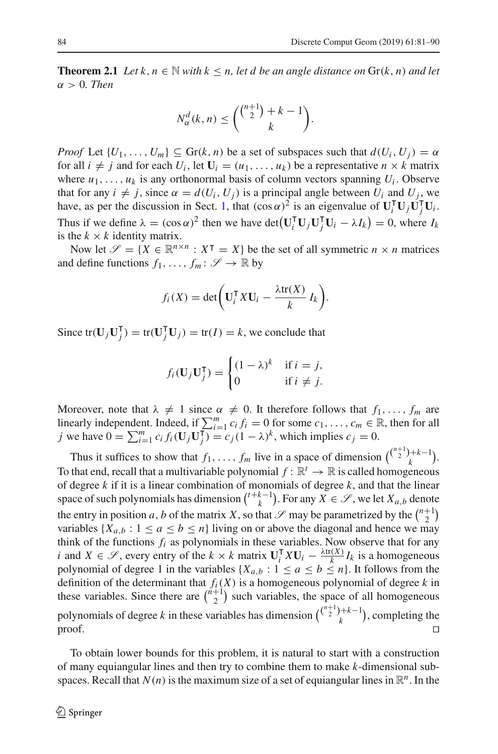**Theorem 2.1** *Let*  $k, n \in \mathbb{N}$  *with*  $k \leq n$ , *let d be an angle distance on*  $\text{Gr}(k, n)$  *and let* α > 0*. Then*

$$
N_{\alpha}^d(k,n) \leq {\binom{\binom{n+1}{2}+k-1}{k}}.
$$

*Proof* Let  $\{U_1, \ldots, U_m\} \subseteq \text{Gr}(k, n)$  be a set of subspaces such that  $d(U_i, U_j) = \alpha$ for all  $i \neq j$  and for each  $U_i$ , let  $\mathbf{U}_i = (u_1, \dots, u_k)$  be a representative  $n \times k$  matrix where  $u_1, \ldots, u_k$  is any orthonormal basis of column vectors spanning  $U_i$ . Observe that for any  $i \neq j$ , since  $\alpha = d(U_i, U_j)$  is a principal angle between  $U_i$  and  $U_j$ , we have, as per the discussion in Sect. [1,](#page-0-0) that  $(\cos \alpha)^2$  is an eigenvalue of  $\mathbf{U}_i^{\mathsf{T}} \mathbf{U}_j \mathbf{U}_j^{\mathsf{T}} \mathbf{U}_i$ . Thus if we define  $\lambda = (\cos \alpha)^2$  then we have det $(\mathbf{U}_i^{\mathsf{T}} \mathbf{U}_j \mathbf{U}_j^{\mathsf{T}} \mathbf{U}_i - \lambda I_k) = 0$ , where  $I_k$ is the  $k \times k$  identity matrix.

Now let  $\mathscr{S} = \{X \in \mathbb{R}^{n \times n} : X^{\mathsf{T}} = X\}$  be the set of all symmetric  $n \times n$  matrices and define functions  $f_1, \ldots, f_m : \mathscr{S} \to \mathbb{R}$  by

$$
f_i(X) = \det\biggl(\mathbf{U}_i^{\mathsf{T}} X \mathbf{U}_i - \frac{\lambda \text{tr}(X)}{k} I_k\biggr).
$$

Since  $tr(\mathbf{U}_j \mathbf{U}_j^{\mathsf{T}}) = tr(\mathbf{U}_j^{\mathsf{T}} \mathbf{U}_j) = tr(I) = k$ , we conclude that

$$
f_i(\mathbf{U}_j \mathbf{U}_j^{\mathsf{T}}) = \begin{cases} (1 - \lambda)^k & \text{if } i = j, \\ 0 & \text{if } i \neq j. \end{cases}
$$

Moreover, note that  $\lambda \neq 1$  since  $\alpha \neq 0$ . It therefore follows that  $f_1, \ldots, f_m$  are linearly independent. Indeed, if  $\sum_{i=1}^{m} c_i f_i = 0$  for some  $c_1, \ldots, c_m \in \mathbb{R}$ , then for all *j* we have  $0 = \sum_{i=1}^{m} c_i f_i(\mathbf{U}_j \mathbf{U}_j^{\mathsf{T}}) = c_j (1 - \lambda)^k$ , which implies  $c_j = 0$ .

Thus it suffices to show that  $f_1, \ldots, f_m$  live in a space of dimension  $\binom{\binom{n+1}{2}+k-1}{k}$ . To that end, recall that a multivariable polynomial  $f: \mathbb{R}^t \to \mathbb{R}$  is called homogeneous of degree *k* if it is a linear combination of monomials of degree *k*, and that the linear space of such polynomials has dimension  $\binom{t+k-1}{k}$ . For any  $X \in \mathscr{S}$ , we let  $X_{a,b}$  denote the entry in position *a*, *b* of the matrix *X*, so that  $\mathscr S$  may be parametrized by the  $\binom{n+1}{2}$ variables  $\{X_{a,b}: 1 \le a \le b \le n\}$  living on or above the diagonal and hence we may think of the functions  $f_i$  as polynomials in these variables. Now observe that for any *i* and  $X \in \mathcal{S}$ , every entry of the  $k \times k$  matrix  $\mathbf{U}_{i}^{T} X \mathbf{U}_{i} - \frac{\lambda \text{tr}(X)}{k} I_{k}$  is a homogeneous polynomial of degree 1 in the variables  $\{X_{a,b} : 1 \le a \le b \le n\}$ . It follows from the definition of the determinant that *fi*(*X*) is a homogeneous polynomial of degree *k* in these variables. Since there are  $\binom{n+1}{2}$  such variables, the space of all homogeneous polynomials of degree *k* in these variables has dimension  $\binom{\binom{n+1}{2}+k-1}{k}$ , completing the  $\Box$ 

To obtain lower bounds for this problem, it is natural to start with a construction of many equiangular lines and then try to combine them to make *k*-dimensional subspaces. Recall that  $N(n)$  is the maximum size of a set of equiangular lines in  $\mathbb{R}^n$ . In the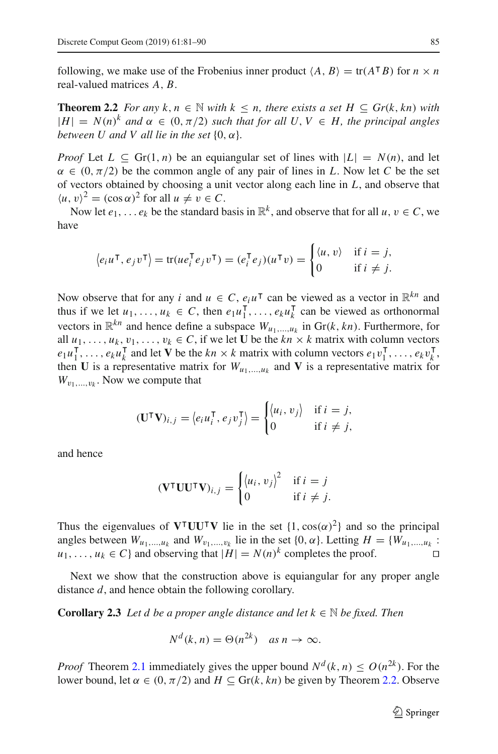<span id="page-4-0"></span>following, we make use of the Frobenius inner product  $\langle A, B \rangle = \text{tr}(A^\top B)$  for  $n \times n$ real-valued matrices *A*, *B*.

**Theorem 2.2** *For any*  $k, n \in \mathbb{N}$  *with*  $k \leq n$ *, there exists a set*  $H \subseteq Gr(k, kn)$  *with*  $|H| = N(n)^k$  *and*  $\alpha \in (0, \pi/2)$  *such that for all*  $U, V \in H$ *, the principal angles between U and V all lie in the set*  $\{0, \alpha\}$ *.* 

*Proof* Let  $L \subseteq \text{Gr}(1, n)$  be an equiangular set of lines with  $|L| = N(n)$ , and let  $\alpha \in (0, \pi/2)$  be the common angle of any pair of lines in L. Now let C be the set of vectors obtained by choosing a unit vector along each line in *L*, and observe that  $\langle u, v \rangle^2 = (\cos \alpha)^2$  for all  $u \neq v \in C$ .

Now let  $e_1, \ldots e_k$  be the standard basis in  $\mathbb{R}^k$ , and observe that for all  $u, v \in C$ , we have

$$
\langle e_i u^\mathsf{T}, e_j v^\mathsf{T} \rangle = \text{tr}(u e_i^\mathsf{T} e_j v^\mathsf{T}) = (e_i^\mathsf{T} e_j)(u^\mathsf{T} v) = \begin{cases} \langle u, v \rangle & \text{if } i = j, \\ 0 & \text{if } i \neq j. \end{cases}
$$

Now observe that for any *i* and  $u \in C$ ,  $e_i u^{\mathsf{T}}$  can be viewed as a vector in  $\mathbb{R}^{kn}$  and thus if we let  $u_1, \ldots, u_k \in C$ , then  $e_1 u_1^{\mathsf{T}}, \ldots, e_k u_k^{\mathsf{T}}$  can be viewed as orthonormal vectors in  $\mathbb{R}^{kn}$  and hence define a subspace  $W_{u_1,...,u_k}$  in  $\text{Gr}(k, kn)$ . Furthermore, for all  $u_1, \ldots, u_k, v_1, \ldots, v_k \in C$ , if we let **U** be the  $kn \times k$  matrix with column vectors  $e_1u_1^{\mathsf{T}}, \ldots, e_ku_k^{\mathsf{T}}$  and let **V** be the  $kn \times k$  matrix with column vectors  $e_1v_1^{\mathsf{T}}, \ldots, e_kv_k^{\mathsf{T}}$ , then **U** is a representative matrix for  $W_{u_1,...,u_k}$  and **V** is a representative matrix for  $W_{v_1,\ldots,v_k}$ . Now we compute that

$$
(\mathbf{U}^{\mathsf{T}}\mathbf{V})_{i,j} = \langle e_i u_i^{\mathsf{T}}, e_j v_j^{\mathsf{T}} \rangle = \begin{cases} \langle u_i, v_j \rangle & \text{if } i = j, \\ 0 & \text{if } i \neq j, \end{cases}
$$

and hence

$$
(\mathbf{V}^{\mathsf{T}}\mathbf{U}\mathbf{U}^{\mathsf{T}}\mathbf{V})_{i,j} = \begin{cases} \langle u_i, v_j \rangle^2 & \text{if } i = j \\ 0 & \text{if } i \neq j. \end{cases}
$$

Thus the eigenvalues of  $V^{\dagger}UU^{\dagger}V$  lie in the set  $\{1, \cos(\alpha)^2\}$  and so the principal angles between  $W_{u_1,...,u_k}$  and  $W_{v_1,...,v_k}$  lie in the set  $\{0, \alpha\}$ . Letting  $H = \{W_{u_1,...,u_k}$ :  $u_1, \ldots, u_k \in C$  and observing that  $|H| = N(n)^k$  completes the proof.

<span id="page-4-1"></span>Next we show that the construction above is equiangular for any proper angle distance *d*, and hence obtain the following corollary.

**Corollary 2.3** *Let d be a proper angle distance and let*  $k \in \mathbb{N}$  *be fixed. Then* 

$$
N^d(k, n) = \Theta(n^{2k}) \quad \text{as } n \to \infty.
$$

*Proof* Theorem [2.1](#page-2-2) immediately gives the upper bound  $N^d(k, n) \le O(n^{2k})$ . For the lower bound, let  $\alpha \in (0, \pi/2)$  and  $H \subseteq \text{Gr}(k, kn)$  be given by Theorem [2.2.](#page-4-0) Observe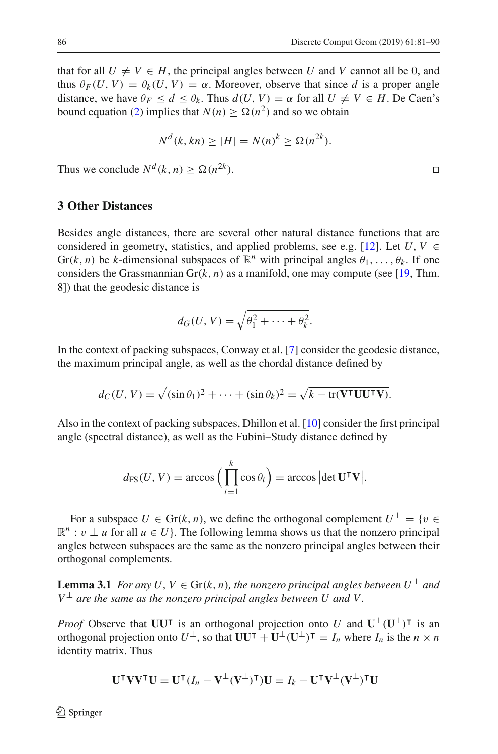that for all  $U \neq V \in H$ , the principal angles between *U* and *V* cannot all be 0, and thus  $\theta_F(U, V) = \theta_k(U, V) = \alpha$ . Moreover, observe that since *d* is a proper angle distance, we have  $\theta_F \leq d \leq \theta_k$ . Thus  $d(U, V) = \alpha$  for all  $U \neq V \in H$ . De Caen's bound equation [\(2\)](#page-1-1) implies that  $N(n) > \Omega(n^2)$  and so we obtain

$$
N^d(k, kn) \ge |H| = N(n)^k \ge \Omega(n^{2k}).
$$

Thus we conclude  $N^d(k, n) > \Omega(n^{2k})$ .

#### <span id="page-5-0"></span>**3 Other Distances**

Besides angle distances, there are several other natural distance functions that are considered in geometry, statistics, and applied problems, see e.g. [\[12](#page-8-14)]. Let  $U, V \in$ Gr(*k*, *n*) be *k*-dimensional subspaces of  $\mathbb{R}^n$  with principal angles  $\theta_1, \ldots, \theta_k$ . If one considers the Grassmannian  $\text{Gr}(k, n)$  as a manifold, one may compute (see [\[19](#page-9-0), Thm. 8]) that the geodesic distance is

$$
d_G(U, V) = \sqrt{\theta_1^2 + \dots + \theta_k^2}.
$$

In the context of packing subspaces, Conway et al. [\[7](#page-8-13)] consider the geodesic distance, the maximum principal angle, as well as the chordal distance defined by

$$
d_C(U, V) = \sqrt{(\sin \theta_1)^2 + \dots + (\sin \theta_k)^2} = \sqrt{k - \text{tr}(\mathbf{V}^\mathsf{T} \mathbf{U} \mathbf{U}^\mathsf{T} \mathbf{V})}.
$$

Also in the context of packing subspaces, Dhillon et al. [\[10](#page-8-15)] consider the first principal angle (spectral distance), as well as the Fubini–Study distance defined by

$$
d_{\text{FS}}(U, V) = \arccos\Big(\prod_{i=1}^{k} \cos \theta_i\Big) = \arccos\big|\det \mathbf{U}^\mathsf{T} \mathbf{V}\big|.
$$

For a subspace  $U \in \text{Gr}(k, n)$ , we define the orthogonal complement  $U^{\perp} = \{v \in$  $\mathbb{R}^n : v \perp u$  for all  $u \in U$ . The following lemma shows us that the nonzero principal angles between subspaces are the same as the nonzero principal angles between their orthogonal complements.

<span id="page-5-1"></span>**Lemma 3.1** *For any U*,  $V \in Gr(k, n)$ *, the nonzero principal angles between*  $U^{\perp}$  *and*  $V^{\perp}$  are the same as the nonzero principal angles between U and V.

*Proof* Observe that **UU**<sup> $\tau$ </sup> is an orthogonal projection onto *U* and  $\mathbf{U}^{\perp}(\mathbf{U}^{\perp})^{\intercal}$  is an orthogonal projection onto  $U^{\perp}$ , so that  $UU^{\top} + U^{\perp}(U^{\perp})^{\top} = I_n$  where  $I_n$  is the  $n \times n$ identity matrix. Thus

$$
\mathbf{U}^{\mathsf{T}}\mathbf{V}\mathbf{V}^{\mathsf{T}}\mathbf{U} = \mathbf{U}^{\mathsf{T}}(I_n - \mathbf{V}^{\perp}(\mathbf{V}^{\perp})^{\mathsf{T}})\mathbf{U} = I_k - \mathbf{U}^{\mathsf{T}}\mathbf{V}^{\perp}(\mathbf{V}^{\perp})^{\mathsf{T}}\mathbf{U}
$$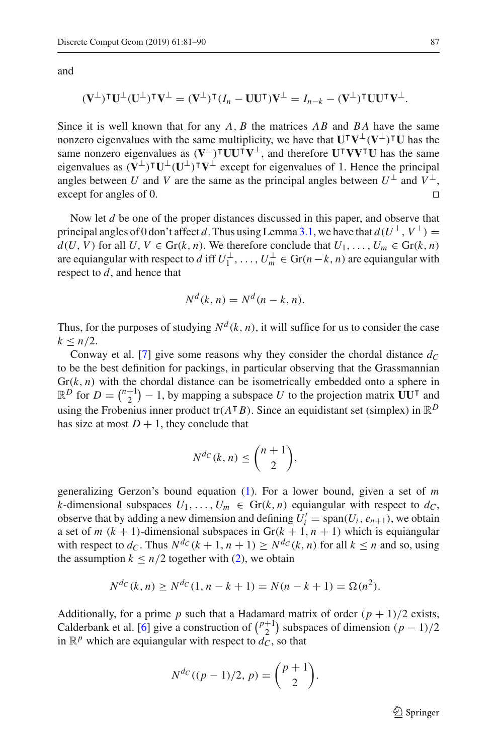and

$$
(\mathbf{V}^{\perp})^{\mathsf{T}}\mathbf{U}^{\perp}(\mathbf{U}^{\perp})^{\mathsf{T}}\mathbf{V}^{\perp} = (\mathbf{V}^{\perp})^{\mathsf{T}}(I_n - \mathbf{U}\mathbf{U}^{\mathsf{T}})\mathbf{V}^{\perp} = I_{n-k} - (\mathbf{V}^{\perp})^{\mathsf{T}}\mathbf{U}\mathbf{U}^{\mathsf{T}}\mathbf{V}^{\perp}.
$$

Since it is well known that for any *A*, *B* the matrices *AB* and *B A* have the same nonzero eigenvalues with the same multiplicity, we have that  $\mathbf{U}^\intercal \mathbf{V}^\perp (\mathbf{V}^\perp)^\intercal \mathbf{U}$  has the same nonzero eigenvalues as  $(V^{\perp})^{\intercal}UU^{\intercal}V^{\perp}$ , and therefore  $UV^{\intercal}VV^{\intercal}U$  has the same eigenvalues as  $(V^{\perp})^{\intercal}U^{\perp}(U^{\perp})^{\intercal}V^{\perp}$  except for eigenvalues of 1. Hence the principal angles between *U* and *V* are the same as the principal angles between  $U^{\perp}$  and  $V^{\perp}$ , except for angles of 0.  $\Box$ 

Now let *d* be one of the proper distances discussed in this paper, and observe that principal angles of 0 don't affect *d*. Thus using Lemma [3.1,](#page-5-1) we have that  $d(U^{\perp}, V^{\perp}) =$  $d(U, V)$  for all  $U, V \in Gr(k, n)$ . We therefore conclude that  $U_1, \ldots, U_m \in Gr(k, n)$ are equiangular with respect to *d* iff  $U_1^{\perp}, \ldots, U_m^{\perp} \in \text{Gr}(n-k, n)$  are equiangular with respect to *d*, and hence that

$$
N^d(k, n) = N^d(n - k, n).
$$

Thus, for the purposes of studying  $N^d$  (*k*, *n*), it will suffice for us to consider the case  $k \leq n/2$ .

Conway et al. [\[7](#page-8-13)] give some reasons why they consider the chordal distance  $d_C$ to be the best definition for packings, in particular observing that the Grassmannian  $Gr(k, n)$  with the chordal distance can be isometrically embedded onto a sphere in  $\mathbb{R}^D$  for  $D = \binom{n+1}{2} - 1$ , by mapping a subspace U to the projection matrix  $UU^{\dagger}$  and using the Frobenius inner product tr( $A^{\dagger}B$ ). Since an equidistant set (simplex) in  $\mathbb{R}^D$ has size at most  $D + 1$ , they conclude that

$$
N^{d_C}(k, n) \leq {n+1 \choose 2},
$$

generalizing Gerzon's bound equation [\(1\)](#page-1-0). For a lower bound, given a set of *m k*-dimensional subspaces  $U_1, \ldots, U_m \in \text{Gr}(k, n)$  equiangular with respect to  $d_C$ , observe that by adding a new dimension and defining  $U_i' = \text{span}(U_i, e_{n+1})$ , we obtain a set of *m*  $(k + 1)$ -dimensional subspaces in  $Gr(k + 1, n + 1)$  which is equiangular with respect to  $d_C$ . Thus  $N^{dc}$  ( $k + 1, n + 1$ )  $\geq N^{dc}$  ( $k, n$ ) for all  $k \leq n$  and so, using the assumption  $k \leq n/2$  together with [\(2\)](#page-1-1), we obtain

$$
N^{d_C}(k, n) \ge N^{d_C}(1, n - k + 1) = N(n - k + 1) = \Omega(n^2).
$$

Additionally, for a prime  $p$  such that a Hadamard matrix of order  $(p + 1)/2$  exists, Calderbank et al. [\[6\]](#page-8-16) give a construction of  $\binom{p+1}{2}$  subspaces of dimension  $(p-1)/2$ in  $\mathbb{R}^p$  which are equiangular with respect to  $\overrightarrow{dc}$ , so that

$$
N^{d_C}((p-1)/2, p) = {p+1 \choose 2}.
$$

 $\mathcal{D}$  Springer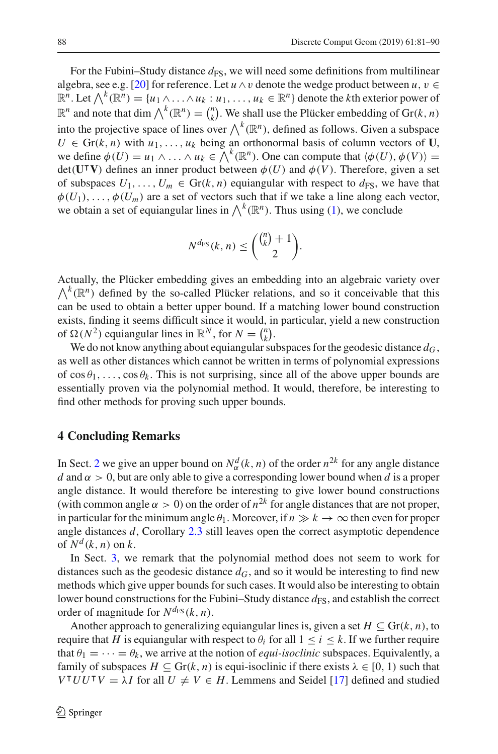For the Fubini–Study distance  $d_{FS}$ , we will need some definitions from multilinear algebra, see e.g. [\[20\]](#page-9-1) for reference. Let  $u \wedge v$  denote the wedge product between  $u, v \in$  $\mathbb{R}^n$ . Let  $\bigwedge^k (\mathbb{R}^n) = \{u_1 \wedge \ldots \wedge u_k : u_1, \ldots, u_k \in \mathbb{R}^n\}$  denote the *k*th exterior power of  $\mathbb{R}^n$  and note that dim  $\bigwedge^k (\mathbb{R}^n) = \binom{n}{k}$ . We shall use the Plücker embedding of Gr(*k*, *n*) into the projective space of lines over  $\bigwedge^k(\mathbb{R}^n)$ , defined as follows. Given a subspace  $U \in \text{Gr}(k, n)$  with  $u_1, \ldots, u_k$  being an orthonormal basis of column vectors of **U**, we define  $\phi(U) = u_1 \wedge \ldots \wedge u_k \in \bigwedge^k (\mathbb{R}^n)$ . One can compute that  $\langle \phi(U), \phi(V) \rangle =$  $det(U^{\dagger}V)$  defines an inner product between  $\phi(U)$  and  $\phi(V)$ . Therefore, given a set of subspaces  $U_1, \ldots, U_m \in \text{Gr}(k, n)$  equiangular with respect to  $d_{FS}$ , we have that  $\phi(U_1), \ldots, \phi(U_m)$  are a set of vectors such that if we take a line along each vector, we obtain a set of equiangular lines in  $\bigwedge^k(\mathbb{R}^n)$ . Thus using [\(1\)](#page-1-0), we conclude

$$
N^{d_{\text{FS}}}(k,n) \leq \binom{\binom{n}{k}+1}{2}.
$$

Actually, the Plücker embedding gives an embedding into an algebraic variety over  $\bigwedge^k(\mathbb{R}^n)$  defined by the so-called Plücker relations, and so it conceivable that this can be used to obtain a better upper bound. If a matching lower bound construction exists, finding it seems difficult since it would, in particular, yield a new construction of  $\Omega(N^2)$  equiangular lines in  $\mathbb{R}^N$ , for  $N = \binom{n}{k}$ .

We do not know anything about equiangular subspaces for the geodesic distance  $d_G$ , as well as other distances which cannot be written in terms of polynomial expressions of  $\cos \theta_1, \ldots, \cos \theta_k$ . This is not surprising, since all of the above upper bounds are essentially proven via the polynomial method. It would, therefore, be interesting to find other methods for proving such upper bounds.

#### <span id="page-7-0"></span>**4 Concluding Remarks**

In Sect. [2](#page-2-0) we give an upper bound on  $N^d_\alpha(k, n)$  of the order  $n^{2k}$  for any angle distance *d* and  $\alpha > 0$ , but are only able to give a corresponding lower bound when *d* is a proper angle distance. It would therefore be interesting to give lower bound constructions (with common angle  $\alpha > 0$ ) on the order of  $n^{2k}$  for angle distances that are not proper, in particular for the minimum angle  $\theta_1$ . Moreover, if  $n \gg k \to \infty$  then even for proper angle distances *d*, Corollary [2.3](#page-4-1) still leaves open the correct asymptotic dependence of  $N^d$   $(k, n)$  on  $k$ .

In Sect. [3,](#page-5-0) we remark that the polynomial method does not seem to work for distances such as the geodesic distance  $d_G$ , and so it would be interesting to find new methods which give upper bounds for such cases. It would also be interesting to obtain lower bound constructions for the Fubini–Study distance  $d_{FS}$ , and establish the correct order of magnitude for  $N^{d_{FS}}(k, n)$ .

Another approach to generalizing equiangular lines is, given a set  $H \subseteq Gr(k, n)$ , to require that *H* is equiangular with respect to  $\theta_i$  for all  $1 \leq i \leq k$ . If we further require that  $\theta_1 = \cdots = \theta_k$ , we arrive at the notion of *equi-isoclinic* subspaces. Equivalently, a family of subspaces  $H \subseteq \text{Gr}(k, n)$  is equi-isoclinic if there exists  $\lambda \in [0, 1)$  such that *V*<sup>T</sup>*UU*<sup>T</sup> $V = \lambda$ *I* for all  $U \neq V \in H$ . Lemmens and Seidel [\[17](#page-8-17)] defined and studied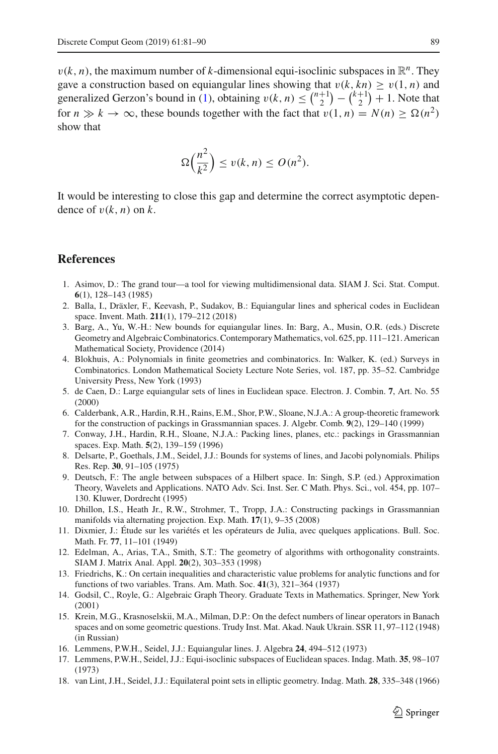$v(k, n)$ , the maximum number of *k*-dimensional equi-isoclinic subspaces in  $\mathbb{R}^n$ . They gave a construction based on equiangular lines showing that  $v(k, kn) > v(1, n)$  and generalized Gerzon's bound in [\(1\)](#page-1-0), obtaining  $v(k, n) \leq {n+1 \choose 2} - {k+1 \choose 2} + 1$ . Note that for  $n \gg k \to \infty$ , these bounds together with the fact that  $v(1, n) = N(n) \geq \Omega(n^2)$ show that

$$
\Omega\left(\frac{n^2}{k^2}\right) \le v(k,n) \le O(n^2).
$$

It would be interesting to close this gap and determine the correct asymptotic dependence of  $v(k, n)$  on  $k$ .

### **References**

- <span id="page-8-12"></span>1. Asimov, D.: The grand tour—a tool for viewing multidimensional data. SIAM J. Sci. Stat. Comput. **6**(1), 128–143 (1985)
- <span id="page-8-0"></span>2. Balla, I., Dräxler, F., Keevash, P., Sudakov, B.: Equiangular lines and spherical codes in Euclidean space. Invent. Math. **211**(1), 179–212 (2018)
- <span id="page-8-1"></span>3. Barg, A., Yu, W.-H.: New bounds for equiangular lines. In: Barg, A., Musin, O.R. (eds.) Discrete Geometry and Algebraic Combinatorics. Contemporary Mathematics, vol. 625, pp. 111–121. American Mathematical Society, Providence (2014)
- <span id="page-8-7"></span>4. Blokhuis, A.: Polynomials in finite geometries and combinatorics. In: Walker, K. (ed.) Surveys in Combinatorics. London Mathematical Society Lecture Note Series, vol. 187, pp. 35–52. Cambridge University Press, New York (1993)
- <span id="page-8-6"></span>5. de Caen, D.: Large equiangular sets of lines in Euclidean space. Electron. J. Combin. **7**, Art. No. 55 (2000)
- <span id="page-8-16"></span>6. Calderbank, A.R., Hardin, R.H., Rains, E.M., Shor, P.W., Sloane, N.J.A.: A group-theoretic framework for the construction of packings in Grassmannian spaces. J. Algebr. Comb. **9**(2), 129–140 (1999)
- <span id="page-8-13"></span>7. Conway, J.H., Hardin, R.H., Sloane, N.J.A.: Packing lines, planes, etc.: packings in Grassmannian spaces. Exp. Math. **5**(2), 139–159 (1996)
- <span id="page-8-2"></span>8. Delsarte, P., Goethals, J.M., Seidel, J.J.: Bounds for systems of lines, and Jacobi polynomials. Philips Res. Rep. **30**, 91–105 (1975)
- <span id="page-8-10"></span>9. Deutsch, F.: The angle between subspaces of a Hilbert space. In: Singh, S.P. (ed.) Approximation Theory, Wavelets and Applications. NATO Adv. Sci. Inst. Ser. C Math. Phys. Sci., vol. 454, pp. 107– 130. Kluwer, Dordrecht (1995)
- <span id="page-8-15"></span>10. Dhillon, I.S., Heath Jr., R.W., Strohmer, T., Tropp, J.A.: Constructing packings in Grassmannian manifolds via alternating projection. Exp. Math. **17**(1), 9–35 (2008)
- <span id="page-8-8"></span>11. Dixmier, J.: Étude sur les variétés et les opérateurs de Julia, avec quelques applications. Bull. Soc. Math. Fr. **77**, 11–101 (1949)
- <span id="page-8-14"></span>12. Edelman, A., Arias, T.A., Smith, S.T.: The geometry of algorithms with orthogonality constraints. SIAM J. Matrix Anal. Appl. **20**(2), 303–353 (1998)
- <span id="page-8-9"></span>13. Friedrichs, K.: On certain inequalities and characteristic value problems for analytic functions and for functions of two variables. Trans. Am. Math. Soc. **41**(3), 321–364 (1937)
- <span id="page-8-3"></span>14. Godsil, C., Royle, G.: Algebraic Graph Theory. Graduate Texts in Mathematics. Springer, New York (2001)
- <span id="page-8-11"></span>15. Krein, M.G., Krasnoselskii, M.A., Milman, D.P.: On the defect numbers of linear operators in Banach spaces and on some geometric questions. Trudy Inst. Mat. Akad. Nauk Ukrain. SSR 11, 97–112 (1948) (in Russian)
- <span id="page-8-4"></span>16. Lemmens, P.W.H., Seidel, J.J.: Equiangular lines. J. Algebra **24**, 494–512 (1973)
- <span id="page-8-17"></span>17. Lemmens, P.W.H., Seidel, J.J.: Equi-isoclinic subspaces of Euclidean spaces. Indag. Math. **35**, 98–107 (1973)
- <span id="page-8-5"></span>18. van Lint, J.H., Seidel, J.J.: Equilateral point sets in elliptic geometry. Indag. Math. **28**, 335–348 (1966)